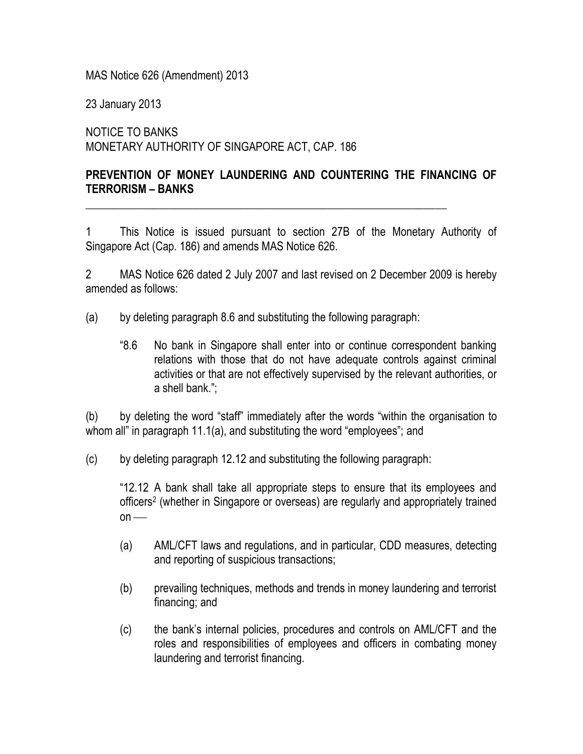MAS Notice 626 (Amendment) 2013

23 January 2013

NOTICE TO BANKS MONETARY AUTHORITY OF SINGAPORE ACT, CAP. 186

## **PREVENTION OF MONEY LAUNDERING AND COUNTERING THE FINANCING OF TERRORISM – BANKS**

\_\_\_\_\_\_\_\_\_\_\_\_\_\_\_\_\_\_\_\_\_\_\_\_\_\_\_\_\_\_\_\_\_\_\_\_\_\_\_\_\_\_\_\_\_\_\_\_\_\_\_\_\_\_\_\_\_\_\_\_\_\_\_\_

1 This Notice is issued pursuant to section 27B of the Monetary Authority of Singapore Act (Cap. 186) and amends MAS Notice 626.

2 MAS Notice 626 dated 2 July 2007 and last revised on 2 December 2009 is hereby amended as follows:

- (a) by deleting paragraph 8.6 and substituting the following paragraph:
	- "8.6 No bank in Singapore shall enter into or continue correspondent banking relations with those that do not have adequate controls against criminal activities or that are not effectively supervised by the relevant authorities, or a shell bank.";

(b) by deleting the word "staff" immediately after the words "within the organisation to whom all" in paragraph 11.1(a), and substituting the word "employees"; and

(c) by deleting paragraph 12.12 and substituting the following paragraph:

"12.12 A bank shall take all appropriate steps to ensure that its employees and officers<sup>2</sup> (whether in Singapore or overseas) are regularly and appropriately trained  $on$  —

- (a) AML/CFT laws and regulations, and in particular, CDD measures, detecting and reporting of suspicious transactions;
- (b) prevailing techniques, methods and trends in money laundering and terrorist financing; and
- (c) the bank's internal policies, procedures and controls on AML/CFT and the roles and responsibilities of employees and officers in combating money laundering and terrorist financing.